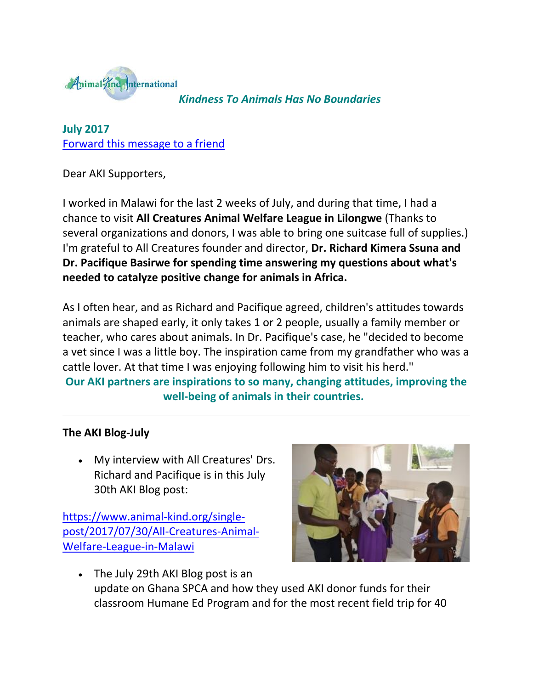

*Kindness To Animals Has No Boundaries*

**July 2017** [Forward this message to a friend](http://oi.vresp.com/f2af/v4/send_to_friend.html?ch=231008ad9c&lid=284351439&ldh=4d75da415c)

Dear AKI Supporters,

I worked in Malawi for the last 2 weeks of July, and during that time, I had a chance to visit **All Creatures Animal Welfare League in Lilongwe** (Thanks to several organizations and donors, I was able to bring one suitcase full of supplies.) I'm grateful to All Creatures founder and director, **Dr. Richard Kimera Ssuna and Dr. Pacifique Basirwe for spending time answering my questions about what's needed to catalyze positive change for animals in Africa.**

As I often hear, and as Richard and Pacifique agreed, children's attitudes towards animals are shaped early, it only takes 1 or 2 people, usually a family member or teacher, who cares about animals. In Dr. Pacifique's case, he "decided to become a vet since I was a little boy. The inspiration came from my grandfather who was a cattle lover. At that time I was enjoying following him to visit his herd."

**Our AKI partners are inspirations to so many, changing attitudes, improving the well-being of animals in their countries.** 

## **The AKI Blog-July**

 My interview with All Creatures' Drs. Richard and Pacifique is in this July 30th AKI Blog post:

[https://www.animal-kind.org/single](http://cts.vresp.com/c/?AnimalKindInternatio/231008ad9c/4d75da415c/0bdf3d47cb)[post/2017/07/30/All-Creatures-Animal-](http://cts.vresp.com/c/?AnimalKindInternatio/231008ad9c/4d75da415c/0bdf3d47cb)[Welfare-League-in-Malawi](http://cts.vresp.com/c/?AnimalKindInternatio/231008ad9c/4d75da415c/0bdf3d47cb)



 The July 29th AKI Blog post is an update on Ghana SPCA and how they used AKI donor funds for their classroom Humane Ed Program and for the most recent field trip for 40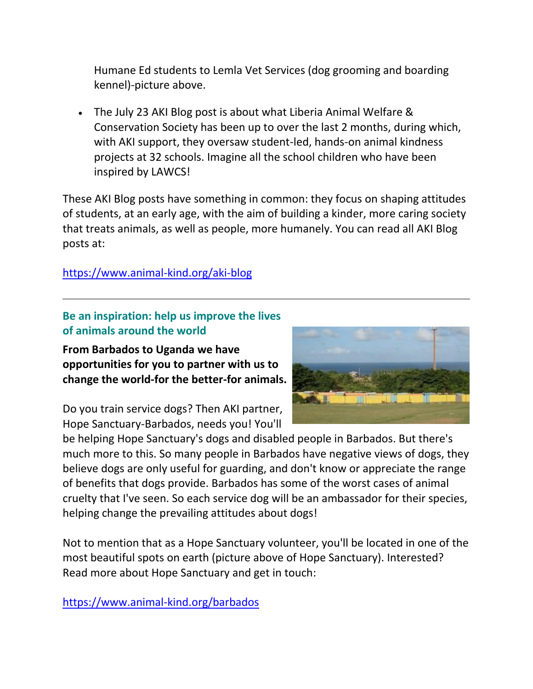Humane Ed students to Lemla Vet Services (dog grooming and boarding kennel)-picture above.

 The July 23 AKI Blog post is about what Liberia Animal Welfare & Conservation Society has been up to over the last 2 months, during which, with AKI support, they oversaw student-led, hands-on animal kindness projects at 32 schools. Imagine all the school children who have been inspired by LAWCS!

These AKI Blog posts have something in common: they focus on shaping attitudes of students, at an early age, with the aim of building a kinder, more caring society that treats animals, as well as people, more humanely. You can read all AKI Blog posts at:

[https://www.animal-kind.org/aki-blog](http://cts.vresp.com/c/?AnimalKindInternatio/231008ad9c/4d75da415c/351ecbf4b0)

**Be an inspiration: help us improve the lives of animals around the world**

**From Barbados to Uganda we have opportunities for you to partner with us to change the world-for the better-for animals.** 

Do you train service dogs? Then AKI partner, Hope Sanctuary-Barbados, needs you! You'll



be helping Hope Sanctuary's dogs and disabled people in Barbados. But there's much more to this. So many people in Barbados have negative views of dogs, they believe dogs are only useful for guarding, and don't know or appreciate the range of benefits that dogs provide. Barbados has some of the worst cases of animal cruelty that I've seen. So each service dog will be an ambassador for their species, helping change the prevailing attitudes about dogs!

Not to mention that as a Hope Sanctuary volunteer, you'll be located in one of the most beautiful spots on earth (picture above of Hope Sanctuary). Interested? Read more about Hope Sanctuary and get in touch:

[https://www.animal-kind.org/barbados](http://cts.vresp.com/c/?AnimalKindInternatio/231008ad9c/4d75da415c/04e167b4da)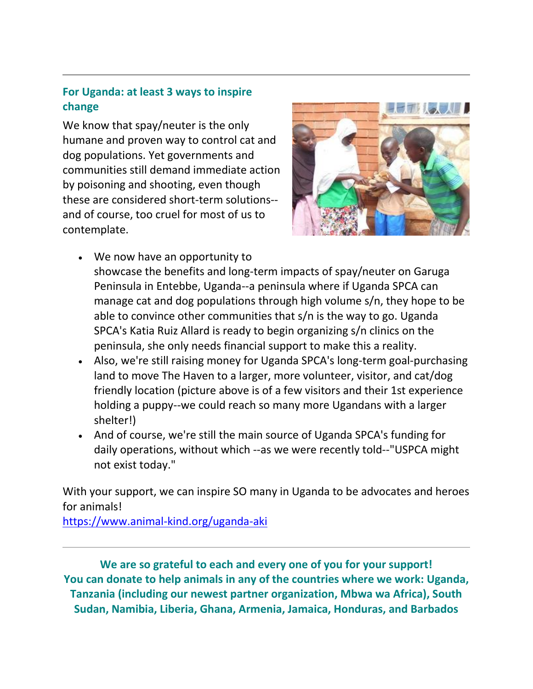## **For Uganda: at least 3 ways to inspire change**

We know that spay/neuter is the only humane and proven way to control cat and dog populations. Yet governments and communities still demand immediate action by poisoning and shooting, even though these are considered short-term solutions- and of course, too cruel for most of us to contemplate.



- We now have an opportunity to showcase the benefits and long-term impacts of spay/neuter on Garuga Peninsula in Entebbe, Uganda--a peninsula where if Uganda SPCA can manage cat and dog populations through high volume s/n, they hope to be able to convince other communities that s/n is the way to go. Uganda SPCA's Katia Ruiz Allard is ready to begin organizing s/n clinics on the peninsula, she only needs financial support to make this a reality.
- Also, we're still raising money for Uganda SPCA's long-term goal-purchasing land to move The Haven to a larger, more volunteer, visitor, and cat/dog friendly location (picture above is of a few visitors and their 1st experience holding a puppy--we could reach so many more Ugandans with a larger shelter!)
- And of course, we're still the main source of Uganda SPCA's funding for daily operations, without which --as we were recently told--"USPCA might not exist today."

With your support, we can inspire SO many in Uganda to be advocates and heroes for animals!

[https://www.animal-kind.org/uganda-aki](http://cts.vresp.com/c/?AnimalKindInternatio/231008ad9c/4d75da415c/7366a9daf9)

**We are so grateful to each and every one of you for your support! You can donate to help animals in any of the countries where we work: Uganda, Tanzania (including our newest partner organization, Mbwa wa Africa), South Sudan, Namibia, Liberia, Ghana, Armenia, Jamaica, Honduras, and Barbados**